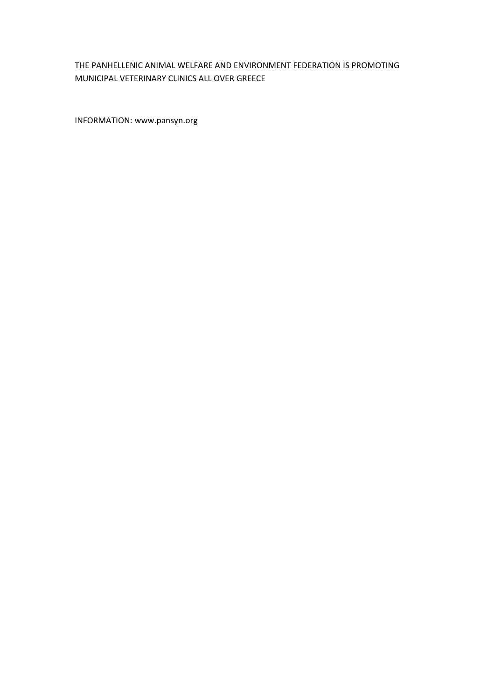#### THE PANHELLENIC ANIMAL WELFARE AND ENVIRONMENT FEDERATION IS PROMOTING MUNICIPAL VETERINARY CLINICS ALL OVER GREECE

INFORMATION: www.pansyn.org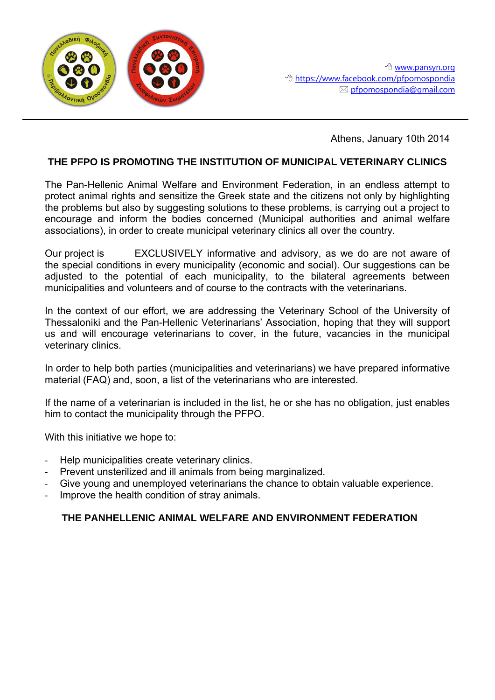

Athens, January 10th 2014

## **THE PFPO IS PROMOTING THE INSTITUTION OF MUNICIPAL VETERINARY CLINICS**

The Pan-Hellenic Animal Welfare and Environment Federation, in an endless attempt to protect animal rights and sensitize the Greek state and the citizens not only by highlighting the problems but also by suggesting solutions to these problems, is carrying out a project to encourage and inform the bodies concerned (Municipal authorities and animal welfare associations), in order to create municipal veterinary clinics all over the country.

Our project is EXCLUSIVELY informative and advisory, as we do are not aware of the special conditions in every municipality (economic and social). Our suggestions can be adjusted to the potential of each municipality, to the bilateral agreements between municipalities and volunteers and of course to the contracts with the veterinarians.

In the context of our effort, we are addressing the Veterinary School of the University of Thessaloniki and the Pan-Hellenic Veterinarians' Association, hoping that they will support us and will encourage veterinarians to cover, in the future, vacancies in the municipal veterinary clinics.

In order to help both parties (municipalities and veterinarians) we have prepared informative material (FAQ) and, soon, a list of the veterinarians who are interested.

If the name of a veterinarian is included in the list, he or she has no obligation, just enables him to contact the municipality through the PFPO.

With this initiative we hope to:

- Help municipalities create veterinary clinics.
- Prevent unsterilized and ill animals from being marginalized.
- Give young and unemployed veterinarians the chance to obtain valuable experience.
- Improve the health condition of stray animals.

## **THE PANHELLENIC ANIMAL WELFARE AND ENVIRONMENT FEDERATION**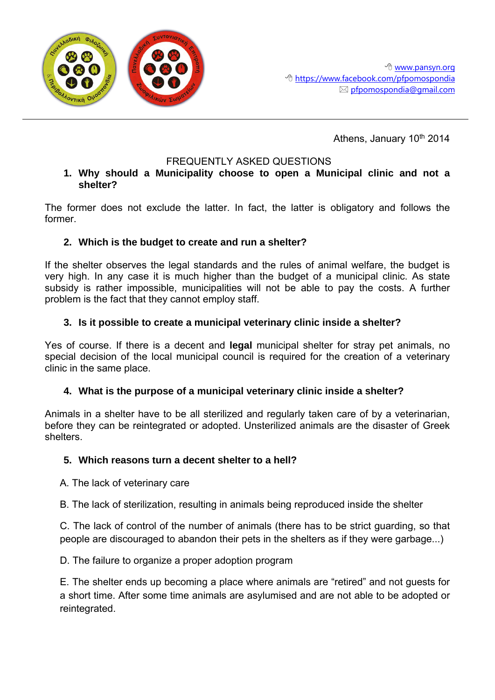

Athens, January 10<sup>th</sup> 2014

# FREQUENTLY ASKED QUESTIONS

#### **1. Why should a Municipality choose to open a Municipal clinic and not a shelter?**

The former does not exclude the latter. In fact, the latter is obligatory and follows the former.

# **2. Which is the budget to create and run a shelter?**

If the shelter observes the legal standards and the rules of animal welfare, the budget is very high. In any case it is much higher than the budget of a municipal clinic. As state subsidy is rather impossible, municipalities will not be able to pay the costs. A further problem is the fact that they cannot employ staff.

# **3. Is it possible to create a municipal veterinary clinic inside a shelter?**

Yes of course. If there is a decent and **legal** municipal shelter for stray pet animals, no special decision of the local municipal council is required for the creation of a veterinary clinic in the same place.

## **4. What is the purpose of a municipal veterinary clinic inside a shelter?**

Animals in a shelter have to be all sterilized and regularly taken care of by a veterinarian, before they can be reintegrated or adopted. Unsterilized animals are the disaster of Greek shelters.

## **5. Which reasons turn a decent shelter to a hell?**

Α. The lack of veterinary care

Β. The lack of sterilization, resulting in animals being reproduced inside the shelter

C. The lack of control of the number of animals (there has to be strict guarding, so that people are discouraged to abandon their pets in the shelters as if they were garbage...)

D. The failure to organize a proper adoption program

Ε. The shelter ends up becoming a place where animals are "retired" and not guests for a short time. After some time animals are asylumised and are not able to be adopted or reintegrated.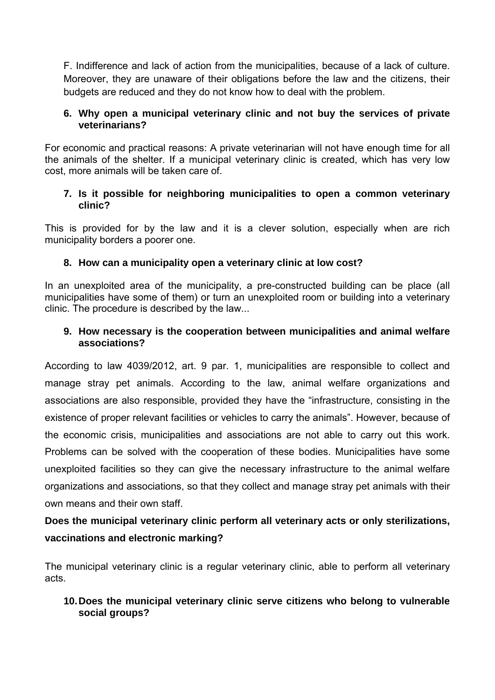F. Indifference and lack of action from the municipalities, because of a lack of culture. Moreover, they are unaware of their obligations before the law and the citizens, their budgets are reduced and they do not know how to deal with the problem.

## **6. Why open a municipal veterinary clinic and not buy the services of private veterinarians?**

For economic and practical reasons: A private veterinarian will not have enough time for all the animals of the shelter. If a municipal veterinary clinic is created, which has very low cost, more animals will be taken care of.

## **7. Is it possible for neighboring municipalities to open a common veterinary clinic?**

This is provided for by the law and it is a clever solution, especially when are rich municipality borders a poorer one.

# **8. How can a municipality open a veterinary clinic at low cost?**

In an unexploited area of the municipality, a pre-constructed building can be place (all municipalities have some of them) or turn an unexploited room or building into a veterinary clinic. The procedure is described by the law...

## **9. How necessary is the cooperation between municipalities and animal welfare associations?**

According to law 4039/2012, art. 9 par. 1, municipalities are responsible to collect and manage stray pet animals. According to the law, animal welfare organizations and associations are also responsible, provided they have the "infrastructure, consisting in the existence of proper relevant facilities or vehicles to carry the animals". However, because of the economic crisis, municipalities and associations are not able to carry out this work. Problems can be solved with the cooperation of these bodies. Municipalities have some unexploited facilities so they can give the necessary infrastructure to the animal welfare organizations and associations, so that they collect and manage stray pet animals with their own means and their own staff.

# **Does the municipal veterinary clinic perform all veterinary acts or only sterilizations, vaccinations and electronic marking?**

The municipal veterinary clinic is a regular veterinary clinic, able to perform all veterinary acts.

## **10.Does the municipal veterinary clinic serve citizens who belong to vulnerable social groups?**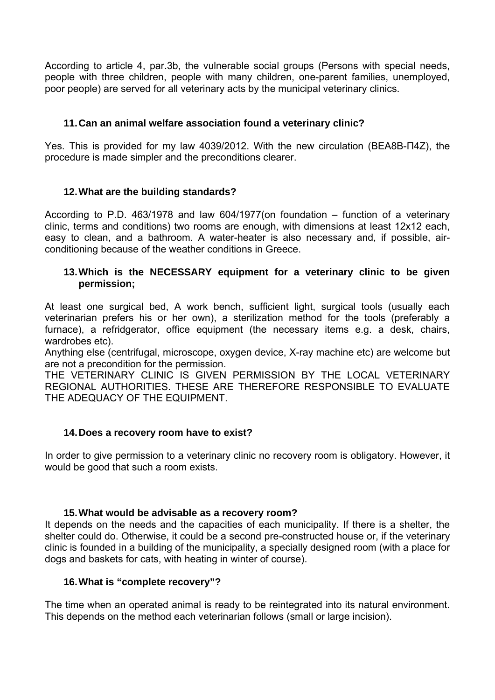According to article 4, par.3b, the vulnerable social groups (Persons with special needs, people with three children, people with many children, one-parent families, unemployed, poor people) are served for all veterinary acts by the municipal veterinary clinics.

## **11.Can an animal welfare association found a veterinary clinic?**

Yes. This is provided for my law 4039/2012. With the new circulation (ΒΕΑ8Β-Π4Ζ), the procedure is made simpler and the preconditions clearer.

## **12.What are the building standards?**

According to P.D. 463/1978 and law 604/1977(on foundation – function of a veterinary clinic, terms and conditions) two rooms are enough, with dimensions at least 12x12 each, easy to clean, and a bathroom. A water-heater is also necessary and, if possible, airconditioning because of the weather conditions in Greece.

## **13.Which is the NECESSARY equipment for a veterinary clinic to be given permission;**

At least one surgical bed, A work bench, sufficient light, surgical tools (usually each veterinarian prefers his or her own), a sterilization method for the tools (preferably a furnace), a refridgerator, office equipment (the necessary items e.g. a desk, chairs, wardrobes etc).

Anything else (centrifugal, microscope, oxygen device, X-ray machine etc) are welcome but are not a precondition for the permission.

THE VETERINARY CLINIC IS GIVEN PERMISSION BY THE LOCAL VETERINARY REGIONAL AUTHORITIES. THESE ARE THEREFORE RESPONSIBLE TO EVALUATE THE ADEQUACY OF THE EQUIPMENT.

## **14.Does a recovery room have to exist?**

In order to give permission to a veterinary clinic no recovery room is obligatory. However, it would be good that such a room exists.

## **15.What would be advisable as a recovery room?**

It depends on the needs and the capacities of each municipality. If there is a shelter, the shelter could do. Otherwise, it could be a second pre-constructed house or, if the veterinary clinic is founded in a building of the municipality, a specially designed room (with a place for dogs and baskets for cats, with heating in winter of course).

# **16.What is "complete recovery"?**

The time when an operated animal is ready to be reintegrated into its natural environment. This depends on the method each veterinarian follows (small or large incision).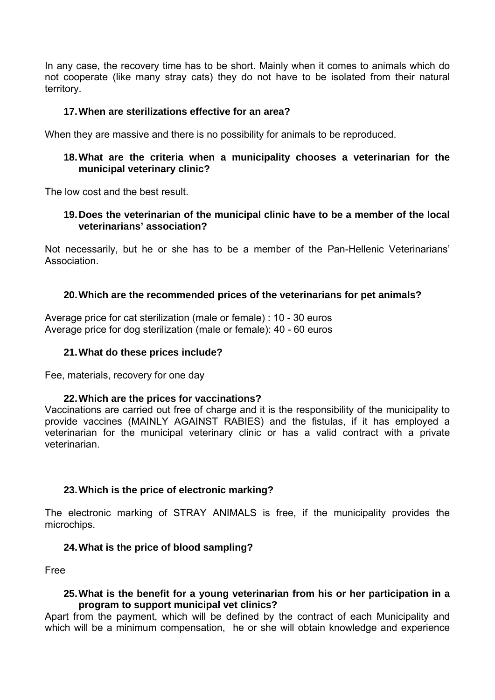In any case, the recovery time has to be short. Mainly when it comes to animals which do not cooperate (like many stray cats) they do not have to be isolated from their natural territory.

#### **17.When are sterilizations effective for an area?**

When they are massive and there is no possibility for animals to be reproduced.

#### **18.What are the criteria when a municipality chooses a veterinarian for the municipal veterinary clinic?**

The low cost and the best result.

#### **19.Does the veterinarian of the municipal clinic have to be a member of the local veterinarians' association?**

Not necessarily, but he or she has to be a member of the Pan-Hellenic Veterinarians' **Association** 

#### **20.Which are the recommended prices of the veterinarians for pet animals?**

Average price for cat sterilization (male or female) : 10 - 30 euros Average price for dog sterilization (male or female): 40 - 60 euros

#### **21.What do these prices include?**

Fee, materials, recovery for one day

#### **22.Which are the prices for vaccinations?**

Vaccinations are carried out free of charge and it is the responsibility of the municipality to provide vaccines (MAINLY AGAINST RABIES) and the fistulas, if it has employed a veterinarian for the municipal veterinary clinic or has a valid contract with a private veterinarian.

## **23.Which is the price of electronic marking?**

The electronic marking of STRAY ANIMALS is free, if the municipality provides the microchips.

#### **24.What is the price of blood sampling?**

Free

#### **25.What is the benefit for a young veterinarian from his or her participation in a program to support municipal vet clinics?**

Apart from the payment, which will be defined by the contract of each Municipality and which will be a minimum compensation, he or she will obtain knowledge and experience